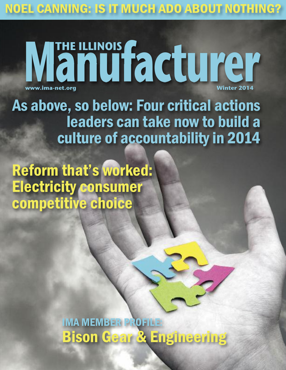NOEL CANNING: IS IT MUCH ADO ABOUT NOTHING?

## **Manufacturer THE ILLINOIS**  $www.ima-net.org$

As above, so below: Four critical actions leaders can take now to build a culture of accountability in 2014

Reform that's worked: Electricity consumer competitive choice

> IMA MEMBER PROFILE: Bison Gear & Engineering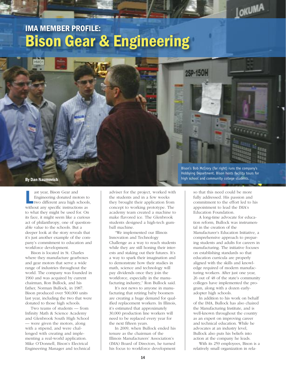## IMA MEMBER PROFILE: Bison Gear & Engineering



ast year, Bison Gear and<br>Engineering donated motors to<br>two different area high school<br>without any specific instructions as ast year, Bison Gear and Engineering donated motors to two different area high schools, to what they might be used for. On its face, it might seem like a curious act of philanthropy, one of questionable value to the schools. But a deeper look at the story reveals that it's just another example of the company's commitment to education and workforce development.

Bison is located in St. Charles where they manufacture gearboxes and gear motors that serve a wide range of industries throughout the world. The company was founded in 1960 and was acquired by current chairman, Ron Bullock, and his father, Norman Bullock, in 1987. Bison produced over 500,000 units last year, including the two that were donated to those high schools.

Two teams of students — from Infinity Math & Science Academy and Glenbrook South High School — were given the motors, along with a stipend, and were challenged with creating and implementing a real-world application. Mike O'Donnell, Bison's Electrical Engineering Manager and technical adviser for the project, worked with the students and in a few weeks they brought their application from concept to working prototype. The academy team created a machine to make flavored ice. The Glenbrook students designed a high-tech gumball machine.

"We implemented our Illinois Innovation and Technology Challenge as a way to reach students while they are still honing their interests and staking out their futures. It's a way to spark their imagination and to demonstrate how their studies in math, science and technology will pay dividends once they join the workforce, especially in the manufacturing industry," Ron Bullock said.

It's not news to anyone in manufacturing that retiring baby boomers are creating a huge demand for qualified replacement workers. In Illinois, it's estimated that approximately 30,000 production line workers will need to be replaced every year for the next fifteen years.

In 2009, when Bullock ended his tenure as the chairman of the Illinois Manufacturers' Association's (IMA) Board of Directors, he turned his focus to workforce development

Bison's Bob McCrory (far right) runs the company's Hobbying Department. Bison hosts facility tours for **By Dan Naumovich high school and community college students.** By Dan Naumovich

2SP-150

LOKUMA

so that this need could be more fully addressed. His passion and commitment to the effort led to his appointment to lead the IMA's Education Foundation.

A long-time advocate for education reform, Bullock was instrumental in the creation of the Manufacturer's Education Initiative, a comprehensive approach to preparing students and adults for careers in manufacturing. The initiative focuses on establishing standards so that education curricula are properly aligned with the skills and knowledge required of modern manufacturing workers. After just one year, 26 out of 48 of the state's community colleges have implemented the program, along with a dozen earlyadopter high schools.

In addition to his work on behalf of the IMA, Bullock has also chaired the Manufacturing Institute, and is well-known throughout the country as an expert on improving career and technical education. While he advocates at an industry level, Bullock also puts his beliefs into action at the company he leads.

With its 259 employees, Bison is a relatively small organization in rela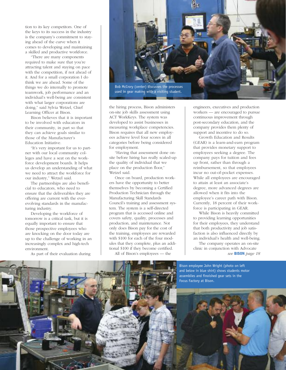tion to its key competitors. One of the keys to its success in the industry is the company's commitment to staying ahead of the curve when it comes to developing and maintaining a skilled and productive workforce.

"There are many components required to make sure that you're attracting talent and staying on pace with the competition, if not ahead of it. And for a small corporation I do think we are ahead. Some of the things we do internally to promote teamwork, job performance and an individual's well-being are consistent with what larger corporations are doing," said Sylvia Wetzel, Chief Learning Officer at Bison.

Bison believes that it is important to be involved with educators in their community, in part so that they can achieve goals similar to those of the Manufacturer's Education Initiative.

"It's very important for us to partner with our local community colleges and have a seat on the workforce development boards. It helps us develop an understanding of what we need to attract the workforce for our industry," Wetzel said.

The partnerships are also beneficial to educators, who need to ensure that the deliverables they are offering are current with the everevolving standards in the manufacturing industry.

Developing the workforce of tomorrow is a critical task, but it is equally important to ensure that those prospective employees who are knocking on the door today are up to the challenge of working in an increasingly complex and high-tech environment.

As part of their evaluation during



the hiring process, Bison administers on-site job skills assessment using ACT WorkKeys. The system was developed to assist businesses in measuring workplace competencies. Bison requires that all new employees achieve level four scores in all categories before being considered for employment.

"Having that assessment done onsite before hiring has really scaled-up the quality of individual that we place on the production floor," Wetzel said.

Once on board, production workers have the opportunity to better themselves by becoming a Certified Production Technician through the Manufacturing Skill Standards Council's training and assessment system. The system is a self-directed program that is accessed online and covers safety, quality, processes and production, and maintenance. Not only does Bison pay for the cost of the training, employees are rewarded with \$100 for each of the four modules that they complete, plus an additional \$100 if they become certified. All of Bison's employees — the

engineers, executives and production workers — are encouraged to pursue continuous improvement through post-secondary education, and the company provides them plenty of support and incentive to do so.

Growth Education and Results (GEAR) is a learn-and-earn program that provides monetary support to employees seeking a degree. The company pays for tuition and fees up front, rather than through a reimbursement, so that employees incur no out-of-pocket expenses. While all employees are encouraged to attain at least an associate's degree, more advanced degrees are allowed when it fits into the employee's career path with Bison. Currently, 18 percent of their workforce is participating in GEAR.

While Bison is heavily committed to providing learning opportunities for their employees, they understand that both productivity and job satisfaction is also influenced directly by an individual's health and well-being.

The company operates an on-site clinic in conjunction with Advocate *see* BISON *page 18*

Bison employee John Wright (photo on left and below in blue shirt) shows students motor assemblies and finoished gear sets in the Focus Factory at Bison.